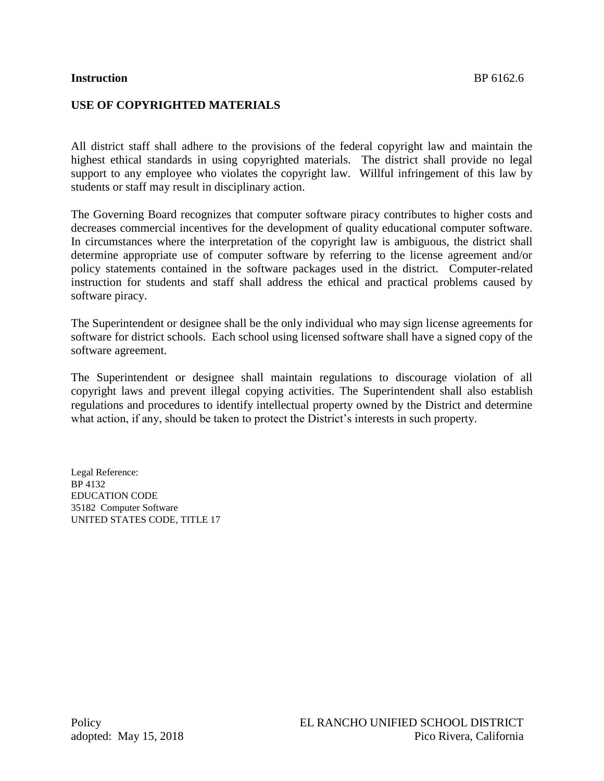#### **Instruction** BP 6162.6

# **USE OF COPYRIGHTED MATERIALS**

All district staff shall adhere to the provisions of the federal copyright law and maintain the highest ethical standards in using copyrighted materials. The district shall provide no legal support to any employee who violates the copyright law. Willful infringement of this law by students or staff may result in disciplinary action.

The Governing Board recognizes that computer software piracy contributes to higher costs and decreases commercial incentives for the development of quality educational computer software. In circumstances where the interpretation of the copyright law is ambiguous, the district shall determine appropriate use of computer software by referring to the license agreement and/or policy statements contained in the software packages used in the district. Computer-related instruction for students and staff shall address the ethical and practical problems caused by software piracy.

The Superintendent or designee shall be the only individual who may sign license agreements for software for district schools. Each school using licensed software shall have a signed copy of the software agreement.

The Superintendent or designee shall maintain regulations to discourage violation of all copyright laws and prevent illegal copying activities. The Superintendent shall also establish regulations and procedures to identify intellectual property owned by the District and determine what action, if any, should be taken to protect the District's interests in such property.

Legal Reference: BP 4132 EDUCATION CODE 35182 Computer Software UNITED STATES CODE, TITLE 17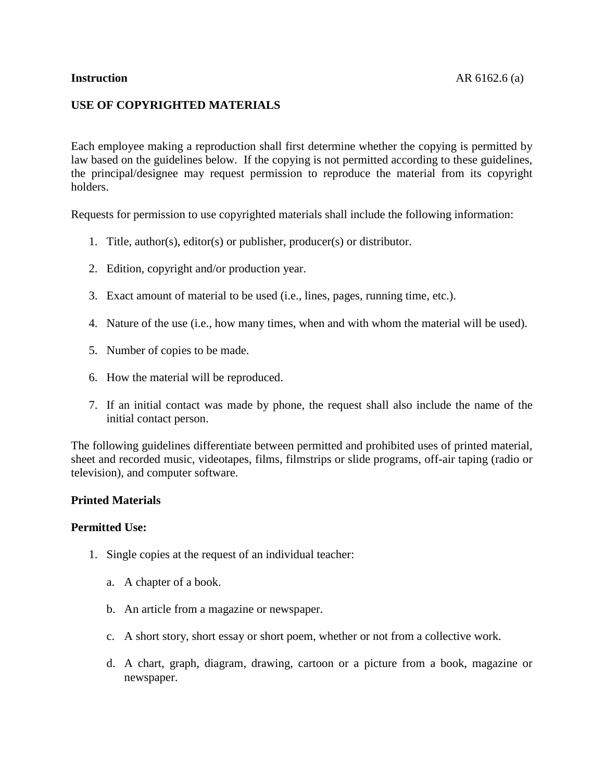# **USE OF COPYRIGHTED MATERIALS**

Each employee making a reproduction shall first determine whether the copying is permitted by law based on the guidelines below. If the copying is not permitted according to these guidelines, the principal/designee may request permission to reproduce the material from its copyright holders.

Requests for permission to use copyrighted materials shall include the following information:

- 1. Title, author(s), editor(s) or publisher, producer(s) or distributor.
- 2. Edition, copyright and/or production year.
- 3. Exact amount of material to be used (i.e., lines, pages, running time, etc.).
- 4. Nature of the use (i.e., how many times, when and with whom the material will be used).
- 5. Number of copies to be made.
- 6. How the material will be reproduced.
- 7. If an initial contact was made by phone, the request shall also include the name of the initial contact person.

The following guidelines differentiate between permitted and prohibited uses of printed material, sheet and recorded music, videotapes, films, filmstrips or slide programs, off-air taping (radio or television), and computer software.

#### **Printed Materials**

- 1. Single copies at the request of an individual teacher:
	- a. A chapter of a book.
	- b. An article from a magazine or newspaper.
	- c. A short story, short essay or short poem, whether or not from a collective work.
	- d. A chart, graph, diagram, drawing, cartoon or a picture from a book, magazine or newspaper.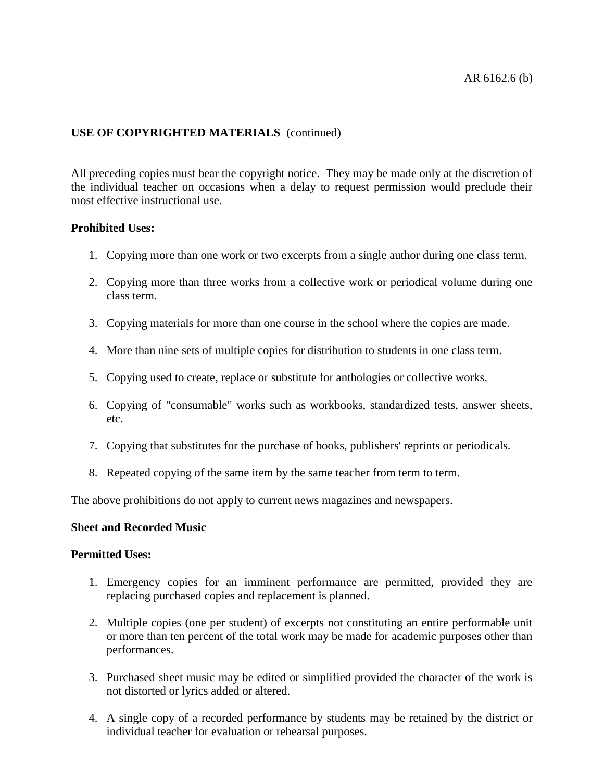All preceding copies must bear the copyright notice. They may be made only at the discretion of the individual teacher on occasions when a delay to request permission would preclude their most effective instructional use.

#### **Prohibited Uses:**

- 1. Copying more than one work or two excerpts from a single author during one class term.
- 2. Copying more than three works from a collective work or periodical volume during one class term.
- 3. Copying materials for more than one course in the school where the copies are made.
- 4. More than nine sets of multiple copies for distribution to students in one class term.
- 5. Copying used to create, replace or substitute for anthologies or collective works.
- 6. Copying of "consumable" works such as workbooks, standardized tests, answer sheets, etc.
- 7. Copying that substitutes for the purchase of books, publishers' reprints or periodicals.
- 8. Repeated copying of the same item by the same teacher from term to term.

The above prohibitions do not apply to current news magazines and newspapers.

## **Sheet and Recorded Music**

- 1. Emergency copies for an imminent performance are permitted, provided they are replacing purchased copies and replacement is planned.
- 2. Multiple copies (one per student) of excerpts not constituting an entire performable unit or more than ten percent of the total work may be made for academic purposes other than performances.
- 3. Purchased sheet music may be edited or simplified provided the character of the work is not distorted or lyrics added or altered.
- 4. A single copy of a recorded performance by students may be retained by the district or individual teacher for evaluation or rehearsal purposes.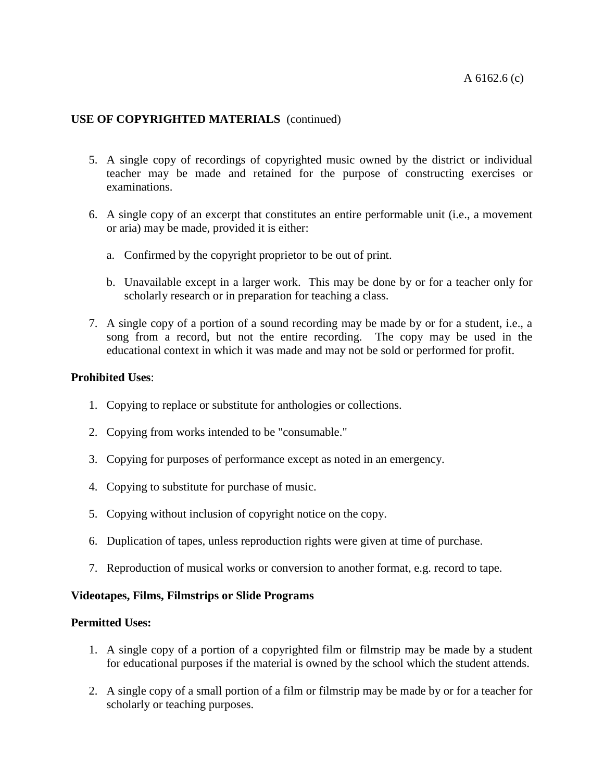- 5. A single copy of recordings of copyrighted music owned by the district or individual teacher may be made and retained for the purpose of constructing exercises or examinations.
- 6. A single copy of an excerpt that constitutes an entire performable unit (i.e., a movement or aria) may be made, provided it is either:
	- a. Confirmed by the copyright proprietor to be out of print.
	- b. Unavailable except in a larger work. This may be done by or for a teacher only for scholarly research or in preparation for teaching a class.
- 7. A single copy of a portion of a sound recording may be made by or for a student, i.e., a song from a record, but not the entire recording. The copy may be used in the educational context in which it was made and may not be sold or performed for profit.

## **Prohibited Uses**:

- 1. Copying to replace or substitute for anthologies or collections.
- 2. Copying from works intended to be "consumable."
- 3. Copying for purposes of performance except as noted in an emergency.
- 4. Copying to substitute for purchase of music.
- 5. Copying without inclusion of copyright notice on the copy.
- 6. Duplication of tapes, unless reproduction rights were given at time of purchase.
- 7. Reproduction of musical works or conversion to another format, e.g. record to tape.

## **Videotapes, Films, Filmstrips or Slide Programs**

- 1. A single copy of a portion of a copyrighted film or filmstrip may be made by a student for educational purposes if the material is owned by the school which the student attends.
- 2. A single copy of a small portion of a film or filmstrip may be made by or for a teacher for scholarly or teaching purposes.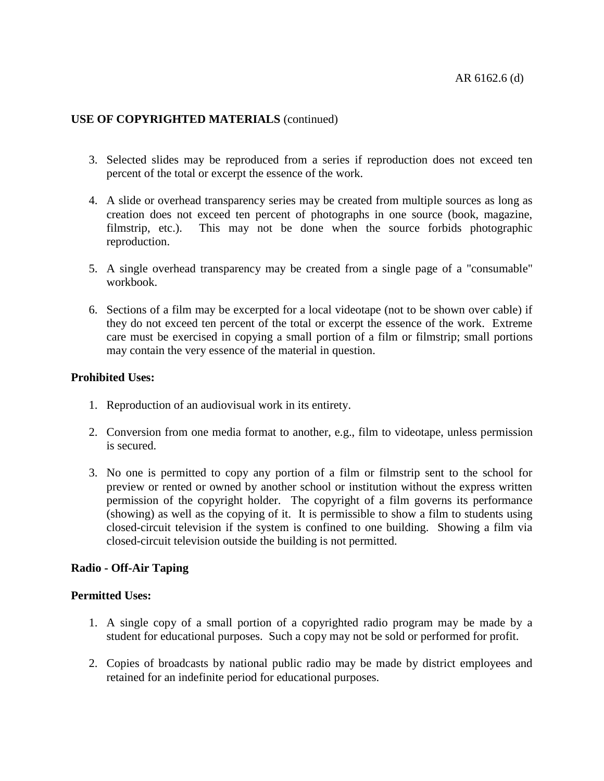- 3. Selected slides may be reproduced from a series if reproduction does not exceed ten percent of the total or excerpt the essence of the work.
- 4. A slide or overhead transparency series may be created from multiple sources as long as creation does not exceed ten percent of photographs in one source (book, magazine, filmstrip, etc.). This may not be done when the source forbids photographic reproduction.
- 5. A single overhead transparency may be created from a single page of a "consumable" workbook.
- 6. Sections of a film may be excerpted for a local videotape (not to be shown over cable) if they do not exceed ten percent of the total or excerpt the essence of the work. Extreme care must be exercised in copying a small portion of a film or filmstrip; small portions may contain the very essence of the material in question.

## **Prohibited Uses:**

- 1. Reproduction of an audiovisual work in its entirety.
- 2. Conversion from one media format to another, e.g., film to videotape, unless permission is secured.
- 3. No one is permitted to copy any portion of a film or filmstrip sent to the school for preview or rented or owned by another school or institution without the express written permission of the copyright holder. The copyright of a film governs its performance (showing) as well as the copying of it. It is permissible to show a film to students using closed-circuit television if the system is confined to one building. Showing a film via closed-circuit television outside the building is not permitted.

## **Radio - Off-Air Taping**

- 1. A single copy of a small portion of a copyrighted radio program may be made by a student for educational purposes. Such a copy may not be sold or performed for profit.
- 2. Copies of broadcasts by national public radio may be made by district employees and retained for an indefinite period for educational purposes.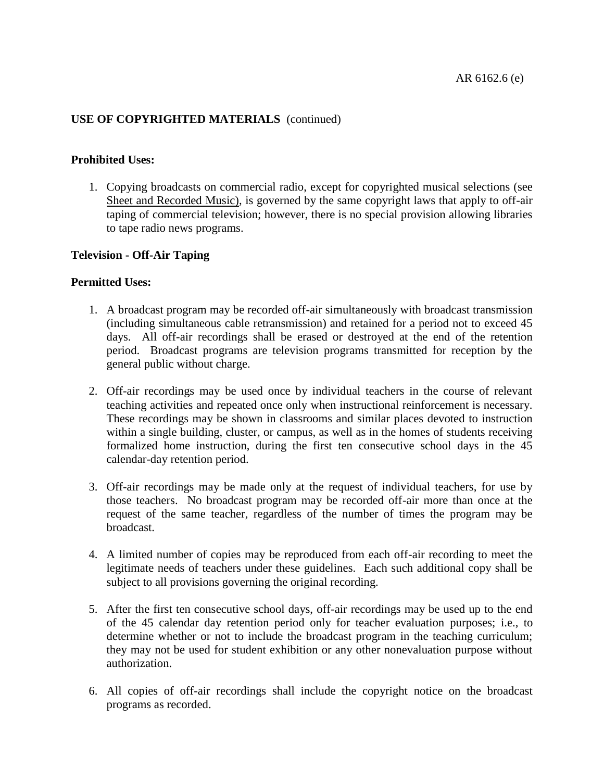#### **Prohibited Uses:**

1. Copying broadcasts on commercial radio, except for copyrighted musical selections (see Sheet and Recorded Music), is governed by the same copyright laws that apply to off-air taping of commercial television; however, there is no special provision allowing libraries to tape radio news programs.

#### **Television - Off-Air Taping**

- 1. A broadcast program may be recorded off-air simultaneously with broadcast transmission (including simultaneous cable retransmission) and retained for a period not to exceed 45 days. All off-air recordings shall be erased or destroyed at the end of the retention period. Broadcast programs are television programs transmitted for reception by the general public without charge.
- 2. Off-air recordings may be used once by individual teachers in the course of relevant teaching activities and repeated once only when instructional reinforcement is necessary. These recordings may be shown in classrooms and similar places devoted to instruction within a single building, cluster, or campus, as well as in the homes of students receiving formalized home instruction, during the first ten consecutive school days in the 45 calendar-day retention period.
- 3. Off-air recordings may be made only at the request of individual teachers, for use by those teachers. No broadcast program may be recorded off-air more than once at the request of the same teacher, regardless of the number of times the program may be broadcast.
- 4. A limited number of copies may be reproduced from each off-air recording to meet the legitimate needs of teachers under these guidelines. Each such additional copy shall be subject to all provisions governing the original recording.
- 5. After the first ten consecutive school days, off-air recordings may be used up to the end of the 45 calendar day retention period only for teacher evaluation purposes; i.e., to determine whether or not to include the broadcast program in the teaching curriculum; they may not be used for student exhibition or any other nonevaluation purpose without authorization.
- 6. All copies of off-air recordings shall include the copyright notice on the broadcast programs as recorded.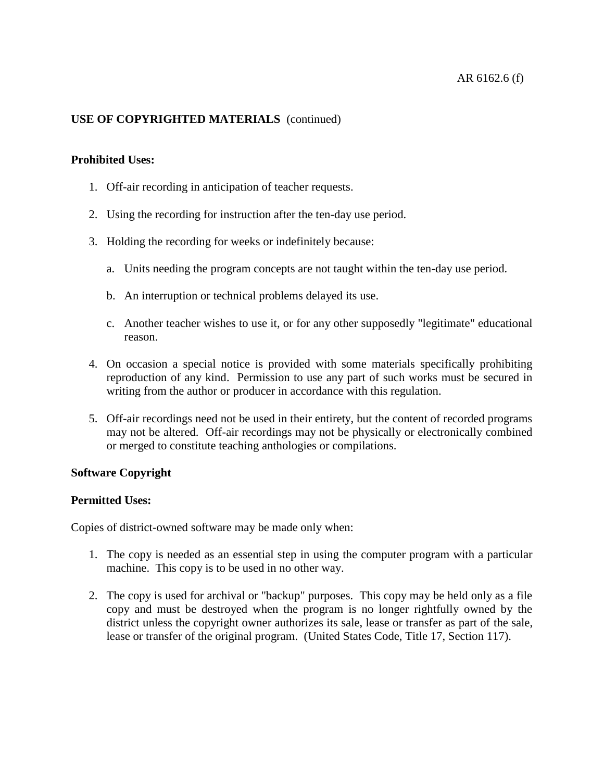## **Prohibited Uses:**

- 1. Off-air recording in anticipation of teacher requests.
- 2. Using the recording for instruction after the ten-day use period.
- 3. Holding the recording for weeks or indefinitely because:
	- a. Units needing the program concepts are not taught within the ten-day use period.
	- b. An interruption or technical problems delayed its use.
	- c. Another teacher wishes to use it, or for any other supposedly "legitimate" educational reason.
- 4. On occasion a special notice is provided with some materials specifically prohibiting reproduction of any kind. Permission to use any part of such works must be secured in writing from the author or producer in accordance with this regulation.
- 5. Off-air recordings need not be used in their entirety, but the content of recorded programs may not be altered. Off-air recordings may not be physically or electronically combined or merged to constitute teaching anthologies or compilations.

## **Software Copyright**

## **Permitted Uses:**

Copies of district-owned software may be made only when:

- 1. The copy is needed as an essential step in using the computer program with a particular machine. This copy is to be used in no other way.
- 2. The copy is used for archival or "backup" purposes. This copy may be held only as a file copy and must be destroyed when the program is no longer rightfully owned by the district unless the copyright owner authorizes its sale, lease or transfer as part of the sale, lease or transfer of the original program. (United States Code, Title 17, Section 117).